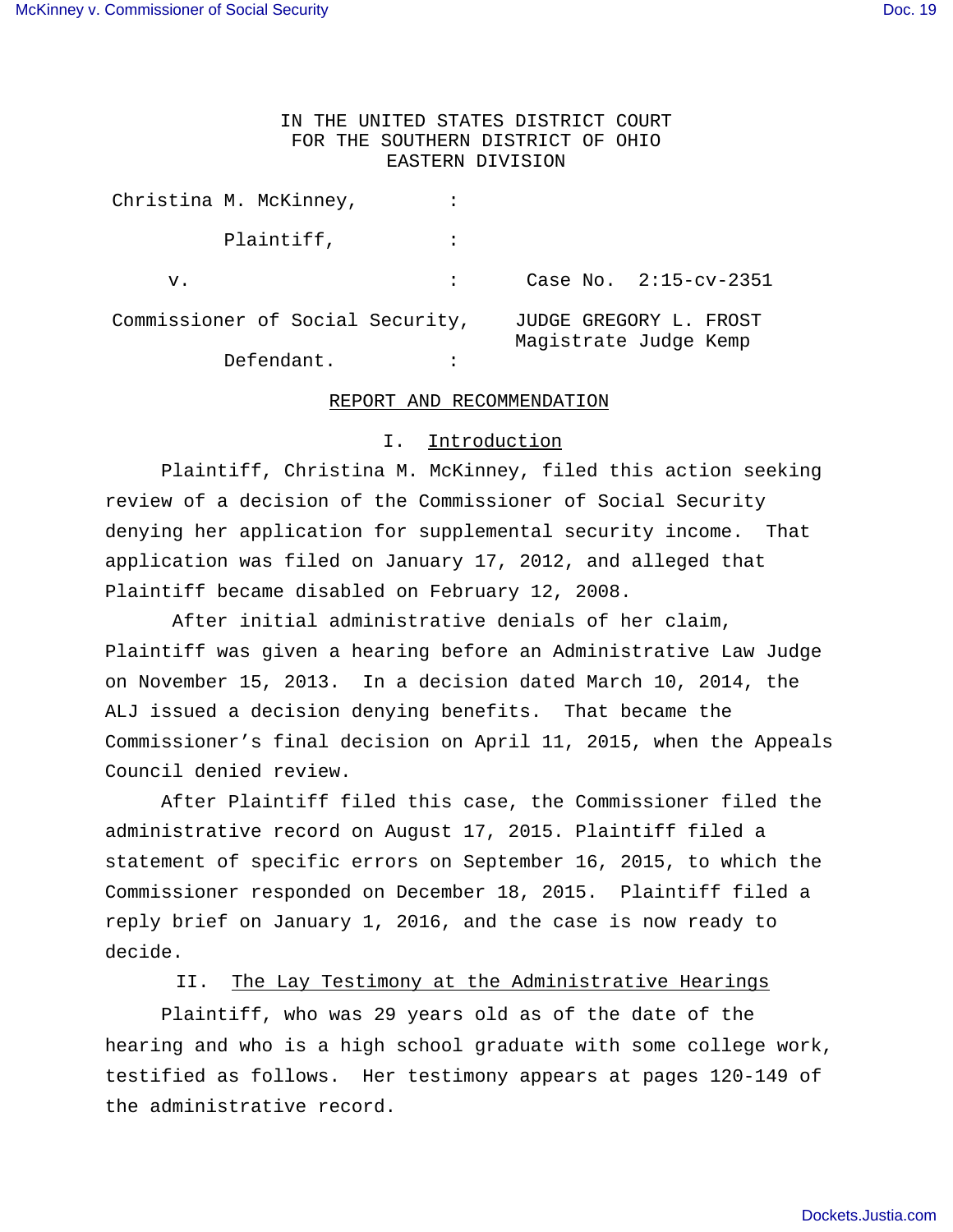# IN THE UNITED STATES DISTRICT COURT FOR THE SOUTHERN DISTRICT OF OHIO EASTERN DIVISION

Christina M. McKinney,  $\cdot$ Plaintiff,  $\qquad \qquad :$ v.  $\begin{array}{ccc} 0.6333 & 0.3333 \end{array}$  Case No. 2:15-cv-2351 Commissioner of Social Security, JUDGE GREGORY L. FROST Magistrate Judge Kemp Defendant. :

## REPORT AND RECOMMENDATION

## I. Introduction

 Plaintiff, Christina M. McKinney, filed this action seeking review of a decision of the Commissioner of Social Security denying her application for supplemental security income. That application was filed on January 17, 2012, and alleged that Plaintiff became disabled on February 12, 2008.

 After initial administrative denials of her claim, Plaintiff was given a hearing before an Administrative Law Judge on November 15, 2013. In a decision dated March 10, 2014, the ALJ issued a decision denying benefits. That became the Commissioner's final decision on April 11, 2015, when the Appeals Council denied review.

After Plaintiff filed this case, the Commissioner filed the administrative record on August 17, 2015. Plaintiff filed a statement of specific errors on September 16, 2015, to which the Commissioner responded on December 18, 2015. Plaintiff filed a reply brief on January 1, 2016, and the case is now ready to decide.

II. The Lay Testimony at the Administrative Hearings

 Plaintiff, who was 29 years old as of the date of the hearing and who is a high school graduate with some college work, testified as follows. Her testimony appears at pages 120-149 of the administrative record.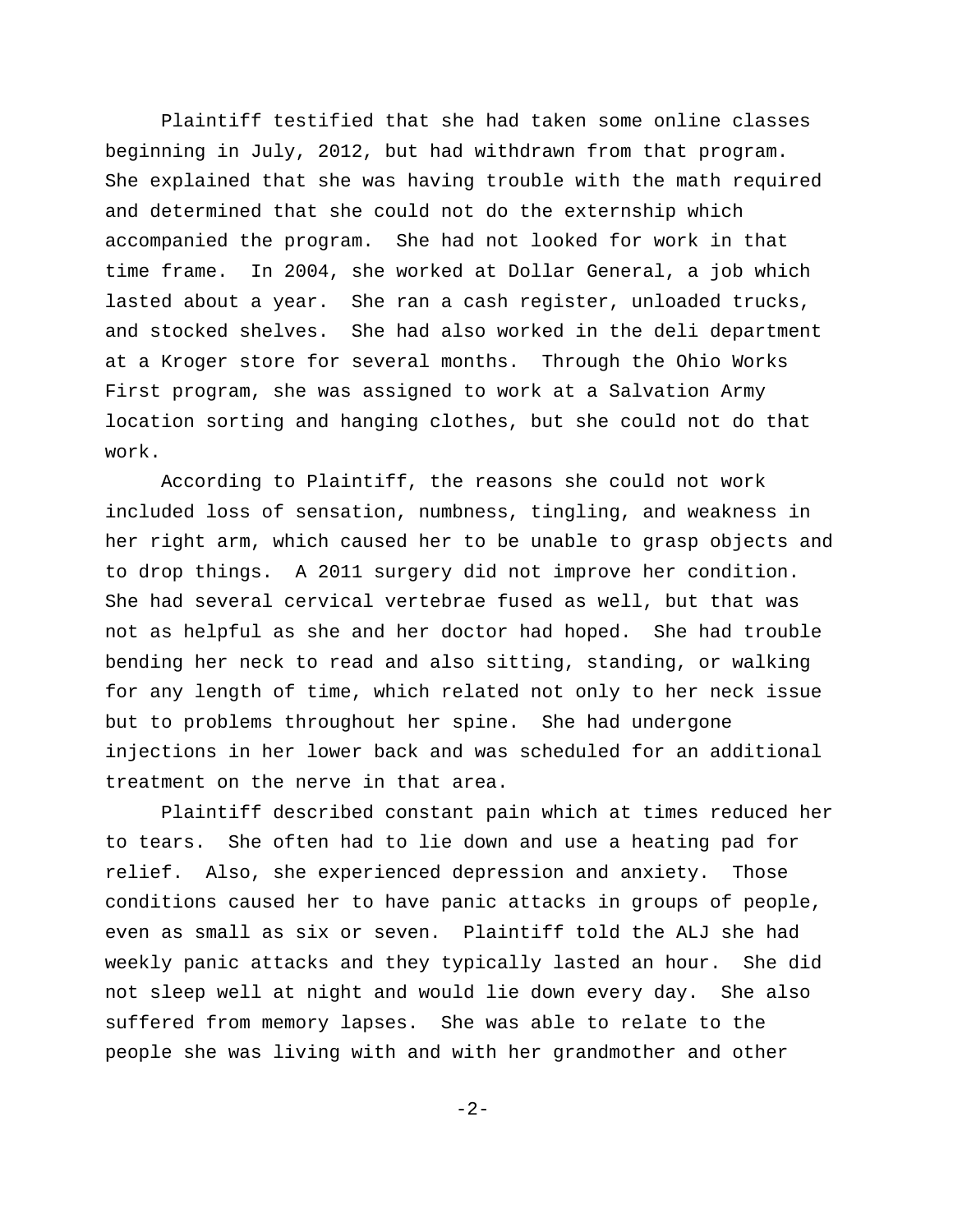Plaintiff testified that she had taken some online classes beginning in July, 2012, but had withdrawn from that program. She explained that she was having trouble with the math required and determined that she could not do the externship which accompanied the program. She had not looked for work in that time frame. In 2004, she worked at Dollar General, a job which lasted about a year. She ran a cash register, unloaded trucks, and stocked shelves. She had also worked in the deli department at a Kroger store for several months. Through the Ohio Works First program, she was assigned to work at a Salvation Army location sorting and hanging clothes, but she could not do that work.

According to Plaintiff, the reasons she could not work included loss of sensation, numbness, tingling, and weakness in her right arm, which caused her to be unable to grasp objects and to drop things. A 2011 surgery did not improve her condition. She had several cervical vertebrae fused as well, but that was not as helpful as she and her doctor had hoped. She had trouble bending her neck to read and also sitting, standing, or walking for any length of time, which related not only to her neck issue but to problems throughout her spine. She had undergone injections in her lower back and was scheduled for an additional treatment on the nerve in that area.

Plaintiff described constant pain which at times reduced her to tears. She often had to lie down and use a heating pad for relief. Also, she experienced depression and anxiety. Those conditions caused her to have panic attacks in groups of people, even as small as six or seven. Plaintiff told the ALJ she had weekly panic attacks and they typically lasted an hour. She did not sleep well at night and would lie down every day. She also suffered from memory lapses. She was able to relate to the people she was living with and with her grandmother and other

-2-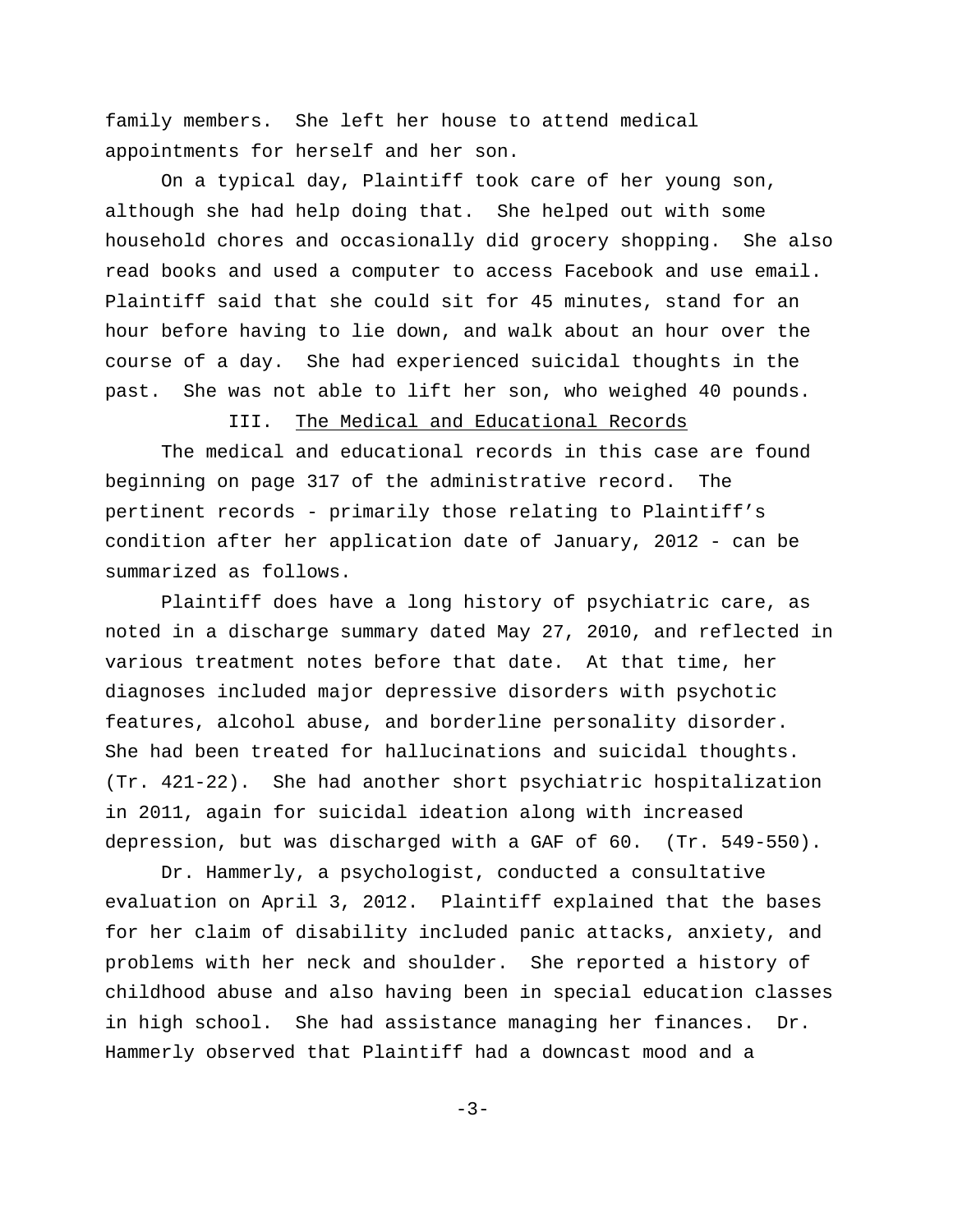family members. She left her house to attend medical appointments for herself and her son.

On a typical day, Plaintiff took care of her young son, although she had help doing that. She helped out with some household chores and occasionally did grocery shopping. She also read books and used a computer to access Facebook and use email. Plaintiff said that she could sit for 45 minutes, stand for an hour before having to lie down, and walk about an hour over the course of a day. She had experienced suicidal thoughts in the past. She was not able to lift her son, who weighed 40 pounds.

III. The Medical and Educational Records

The medical and educational records in this case are found beginning on page 317 of the administrative record. The pertinent records - primarily those relating to Plaintiff's condition after her application date of January, 2012 - can be summarized as follows.

Plaintiff does have a long history of psychiatric care, as noted in a discharge summary dated May 27, 2010, and reflected in various treatment notes before that date. At that time, her diagnoses included major depressive disorders with psychotic features, alcohol abuse, and borderline personality disorder. She had been treated for hallucinations and suicidal thoughts. (Tr. 421-22). She had another short psychiatric hospitalization in 2011, again for suicidal ideation along with increased depression, but was discharged with a GAF of 60. (Tr. 549-550).

Dr. Hammerly, a psychologist, conducted a consultative evaluation on April 3, 2012. Plaintiff explained that the bases for her claim of disability included panic attacks, anxiety, and problems with her neck and shoulder. She reported a history of childhood abuse and also having been in special education classes in high school. She had assistance managing her finances. Dr. Hammerly observed that Plaintiff had a downcast mood and a

 $-3-$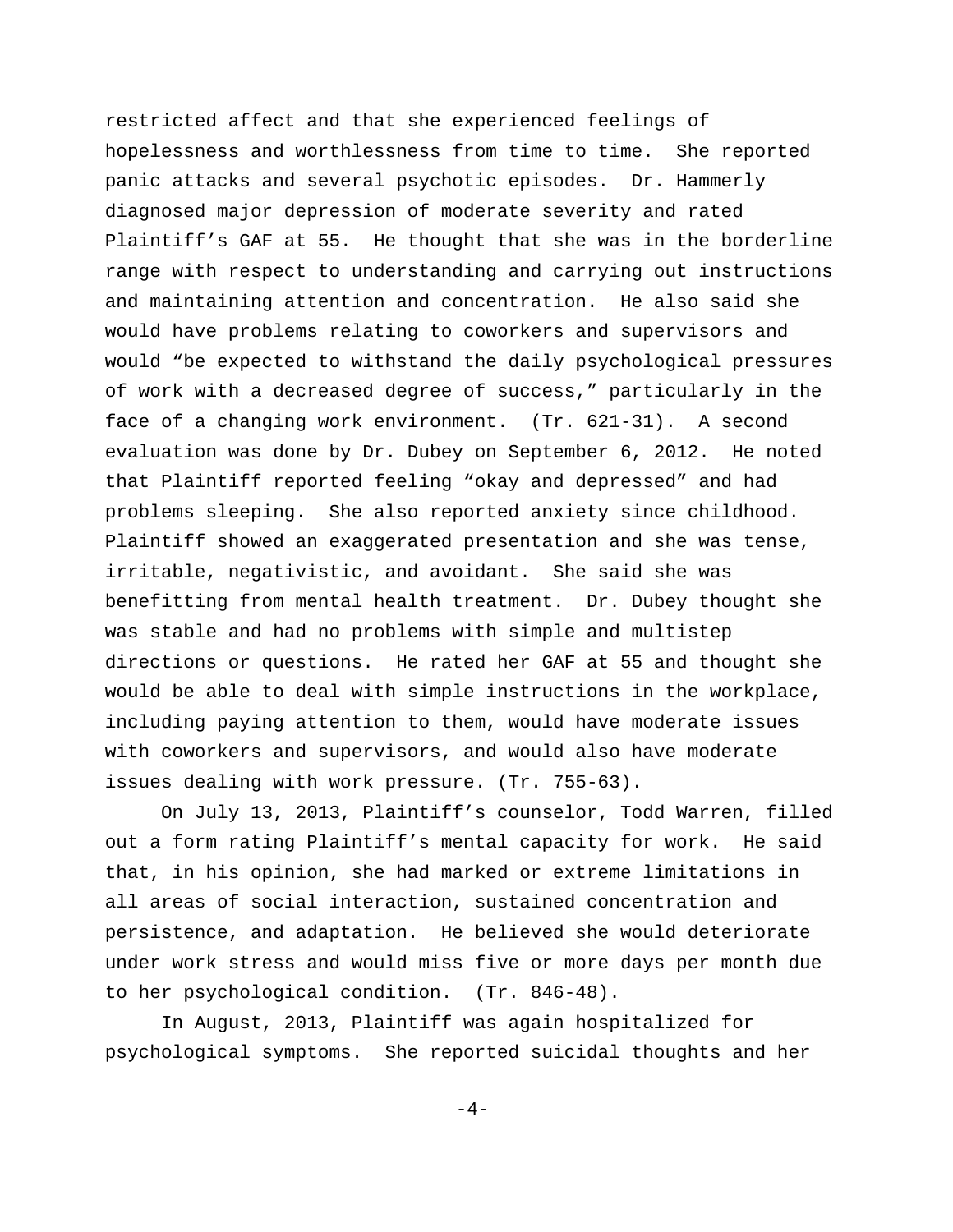restricted affect and that she experienced feelings of hopelessness and worthlessness from time to time. She reported panic attacks and several psychotic episodes. Dr. Hammerly diagnosed major depression of moderate severity and rated Plaintiff's GAF at 55. He thought that she was in the borderline range with respect to understanding and carrying out instructions and maintaining attention and concentration. He also said she would have problems relating to coworkers and supervisors and would "be expected to withstand the daily psychological pressures of work with a decreased degree of success," particularly in the face of a changing work environment. (Tr. 621-31). A second evaluation was done by Dr. Dubey on September 6, 2012. He noted that Plaintiff reported feeling "okay and depressed" and had problems sleeping. She also reported anxiety since childhood. Plaintiff showed an exaggerated presentation and she was tense, irritable, negativistic, and avoidant. She said she was benefitting from mental health treatment. Dr. Dubey thought she was stable and had no problems with simple and multistep directions or questions. He rated her GAF at 55 and thought she would be able to deal with simple instructions in the workplace, including paying attention to them, would have moderate issues with coworkers and supervisors, and would also have moderate issues dealing with work pressure. (Tr. 755-63).

On July 13, 2013, Plaintiff's counselor, Todd Warren, filled out a form rating Plaintiff's mental capacity for work. He said that, in his opinion, she had marked or extreme limitations in all areas of social interaction, sustained concentration and persistence, and adaptation. He believed she would deteriorate under work stress and would miss five or more days per month due to her psychological condition. (Tr. 846-48).

In August, 2013, Plaintiff was again hospitalized for psychological symptoms. She reported suicidal thoughts and her

 $-4-$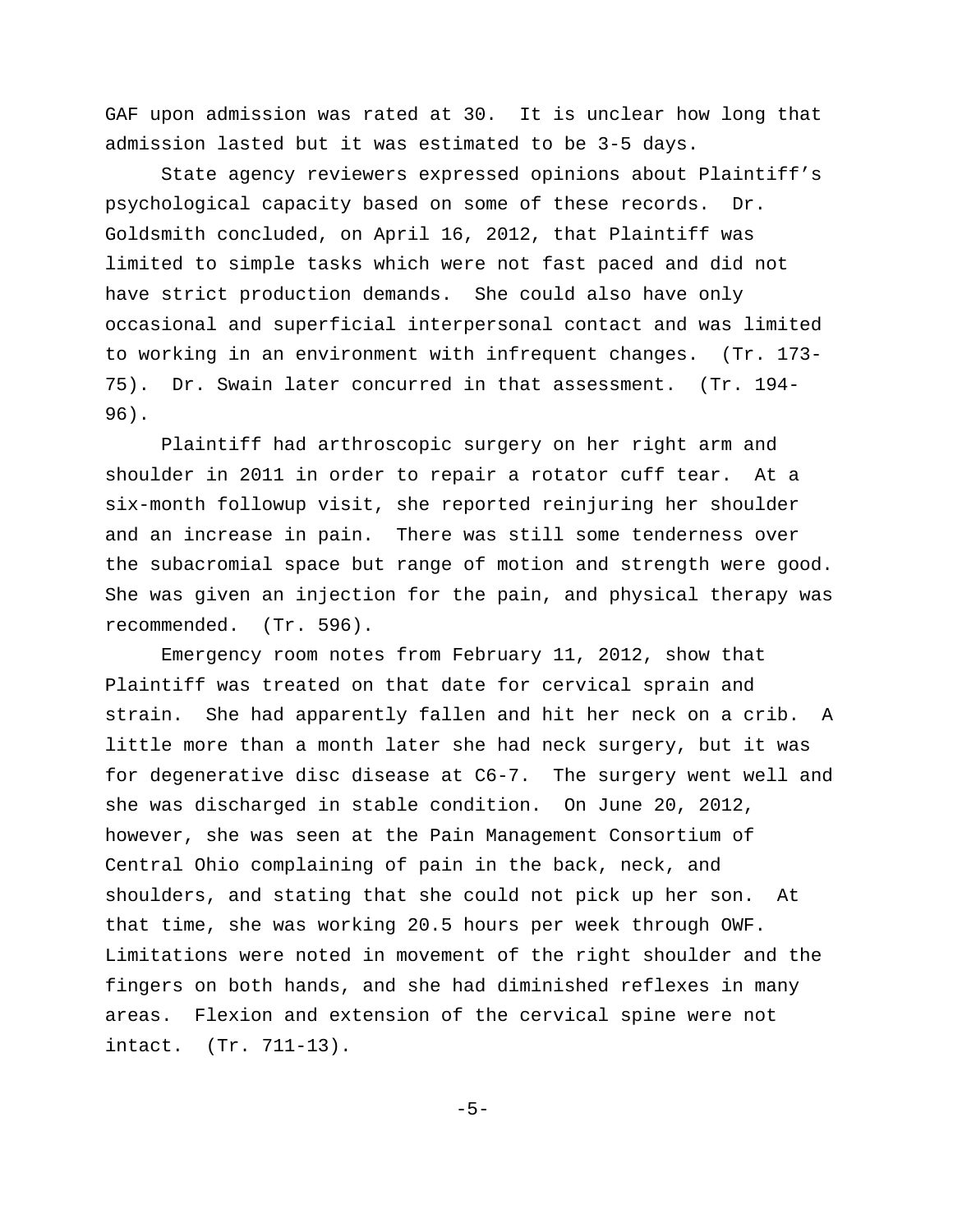GAF upon admission was rated at 30. It is unclear how long that admission lasted but it was estimated to be 3-5 days.

State agency reviewers expressed opinions about Plaintiff's psychological capacity based on some of these records. Dr. Goldsmith concluded, on April 16, 2012, that Plaintiff was limited to simple tasks which were not fast paced and did not have strict production demands. She could also have only occasional and superficial interpersonal contact and was limited to working in an environment with infrequent changes. (Tr. 173- 75). Dr. Swain later concurred in that assessment. (Tr. 194- 96).

Plaintiff had arthroscopic surgery on her right arm and shoulder in 2011 in order to repair a rotator cuff tear. At a six-month followup visit, she reported reinjuring her shoulder and an increase in pain. There was still some tenderness over the subacromial space but range of motion and strength were good. She was given an injection for the pain, and physical therapy was recommended. (Tr. 596).

Emergency room notes from February 11, 2012, show that Plaintiff was treated on that date for cervical sprain and strain. She had apparently fallen and hit her neck on a crib. A little more than a month later she had neck surgery, but it was for degenerative disc disease at C6-7. The surgery went well and she was discharged in stable condition. On June 20, 2012, however, she was seen at the Pain Management Consortium of Central Ohio complaining of pain in the back, neck, and shoulders, and stating that she could not pick up her son. At that time, she was working 20.5 hours per week through OWF. Limitations were noted in movement of the right shoulder and the fingers on both hands, and she had diminished reflexes in many areas. Flexion and extension of the cervical spine were not intact. (Tr. 711-13).

-5-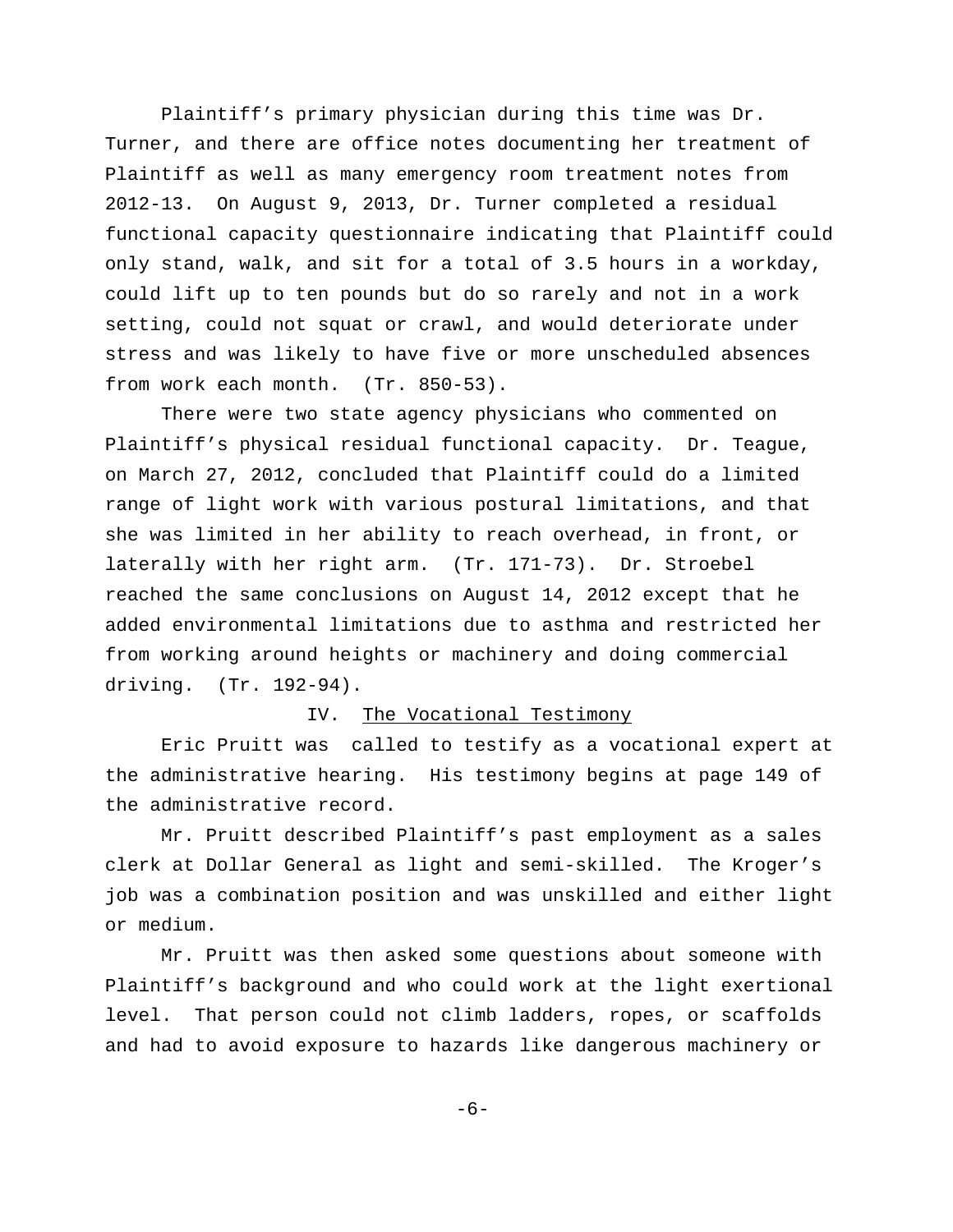Plaintiff's primary physician during this time was Dr. Turner, and there are office notes documenting her treatment of Plaintiff as well as many emergency room treatment notes from 2012-13. On August 9, 2013, Dr. Turner completed a residual functional capacity questionnaire indicating that Plaintiff could only stand, walk, and sit for a total of 3.5 hours in a workday, could lift up to ten pounds but do so rarely and not in a work setting, could not squat or crawl, and would deteriorate under stress and was likely to have five or more unscheduled absences from work each month. (Tr. 850-53).

There were two state agency physicians who commented on Plaintiff's physical residual functional capacity. Dr. Teague, on March 27, 2012, concluded that Plaintiff could do a limited range of light work with various postural limitations, and that she was limited in her ability to reach overhead, in front, or laterally with her right arm. (Tr. 171-73). Dr. Stroebel reached the same conclusions on August 14, 2012 except that he added environmental limitations due to asthma and restricted her from working around heights or machinery and doing commercial driving. (Tr. 192-94).

#### IV. The Vocational Testimony

Eric Pruitt was called to testify as a vocational expert at the administrative hearing. His testimony begins at page 149 of the administrative record.

Mr. Pruitt described Plaintiff's past employment as a sales clerk at Dollar General as light and semi-skilled. The Kroger's job was a combination position and was unskilled and either light or medium.

Mr. Pruitt was then asked some questions about someone with Plaintiff's background and who could work at the light exertional level. That person could not climb ladders, ropes, or scaffolds and had to avoid exposure to hazards like dangerous machinery or

-6-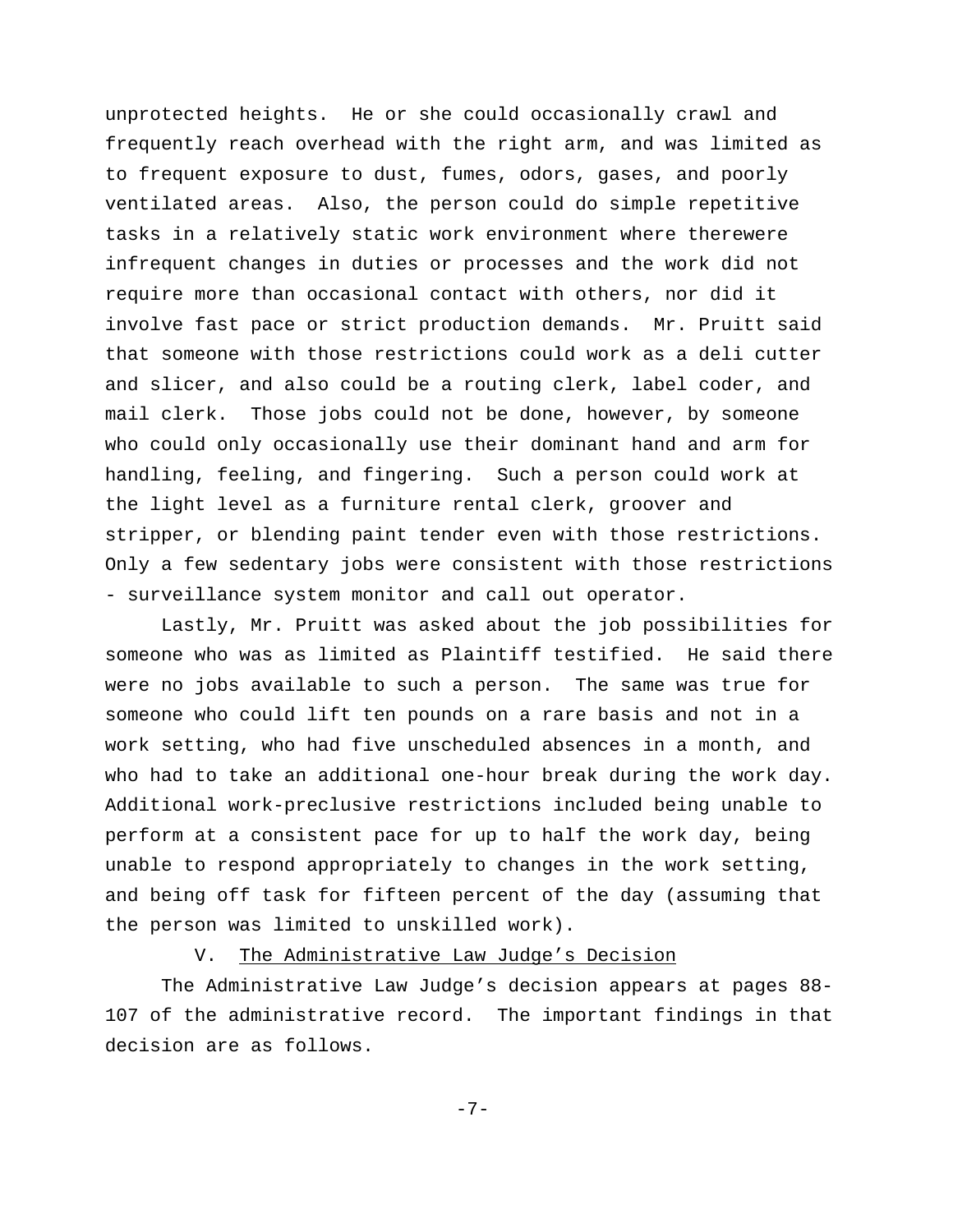unprotected heights. He or she could occasionally crawl and frequently reach overhead with the right arm, and was limited as to frequent exposure to dust, fumes, odors, gases, and poorly ventilated areas. Also, the person could do simple repetitive tasks in a relatively static work environment where therewere infrequent changes in duties or processes and the work did not require more than occasional contact with others, nor did it involve fast pace or strict production demands. Mr. Pruitt said that someone with those restrictions could work as a deli cutter and slicer, and also could be a routing clerk, label coder, and mail clerk. Those jobs could not be done, however, by someone who could only occasionally use their dominant hand and arm for handling, feeling, and fingering. Such a person could work at the light level as a furniture rental clerk, groover and stripper, or blending paint tender even with those restrictions. Only a few sedentary jobs were consistent with those restrictions - surveillance system monitor and call out operator.

Lastly, Mr. Pruitt was asked about the job possibilities for someone who was as limited as Plaintiff testified. He said there were no jobs available to such a person. The same was true for someone who could lift ten pounds on a rare basis and not in a work setting, who had five unscheduled absences in a month, and who had to take an additional one-hour break during the work day. Additional work-preclusive restrictions included being unable to perform at a consistent pace for up to half the work day, being unable to respond appropriately to changes in the work setting, and being off task for fifteen percent of the day (assuming that the person was limited to unskilled work).

V. The Administrative Law Judge's Decision

The Administrative Law Judge's decision appears at pages 88- 107 of the administrative record. The important findings in that decision are as follows.

-7-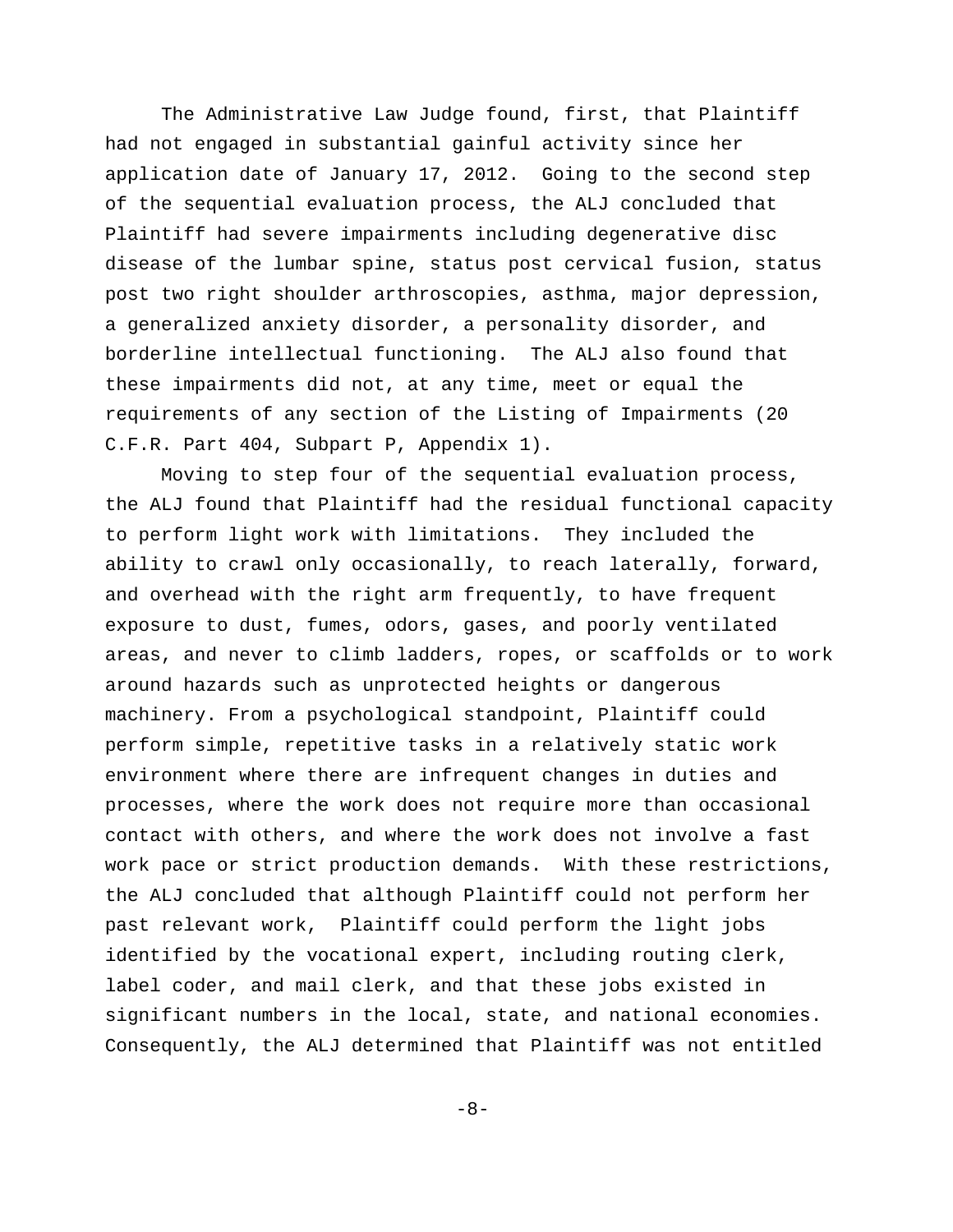The Administrative Law Judge found, first, that Plaintiff had not engaged in substantial gainful activity since her application date of January 17, 2012. Going to the second step of the sequential evaluation process, the ALJ concluded that Plaintiff had severe impairments including degenerative disc disease of the lumbar spine, status post cervical fusion, status post two right shoulder arthroscopies, asthma, major depression, a generalized anxiety disorder, a personality disorder, and borderline intellectual functioning. The ALJ also found that these impairments did not, at any time, meet or equal the requirements of any section of the Listing of Impairments (20 C.F.R. Part 404, Subpart P, Appendix 1).

Moving to step four of the sequential evaluation process, the ALJ found that Plaintiff had the residual functional capacity to perform light work with limitations. They included the ability to crawl only occasionally, to reach laterally, forward, and overhead with the right arm frequently, to have frequent exposure to dust, fumes, odors, gases, and poorly ventilated areas, and never to climb ladders, ropes, or scaffolds or to work around hazards such as unprotected heights or dangerous machinery. From a psychological standpoint, Plaintiff could perform simple, repetitive tasks in a relatively static work environment where there are infrequent changes in duties and processes, where the work does not require more than occasional contact with others, and where the work does not involve a fast work pace or strict production demands. With these restrictions, the ALJ concluded that although Plaintiff could not perform her past relevant work, Plaintiff could perform the light jobs identified by the vocational expert, including routing clerk, label coder, and mail clerk, and that these jobs existed in significant numbers in the local, state, and national economies. Consequently, the ALJ determined that Plaintiff was not entitled

-8-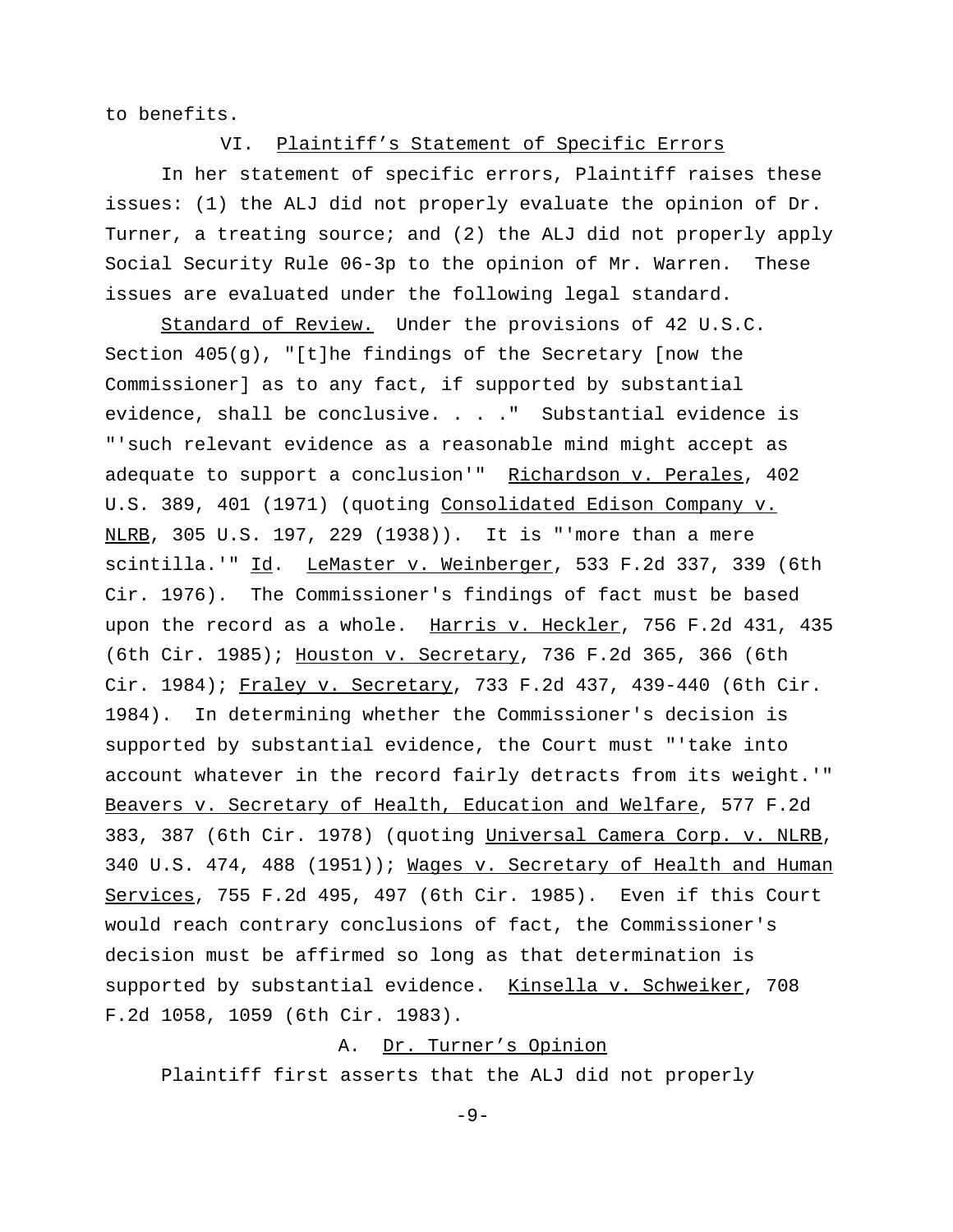to benefits.

VI. Plaintiff's Statement of Specific Errors

 In her statement of specific errors, Plaintiff raises these issues: (1) the ALJ did not properly evaluate the opinion of Dr. Turner, a treating source; and (2) the ALJ did not properly apply Social Security Rule 06-3p to the opinion of Mr. Warren. These issues are evaluated under the following legal standard.

Standard of Review. Under the provisions of 42 U.S.C. Section  $405(q)$ , "[t]he findings of the Secretary [now the Commissioner] as to any fact, if supported by substantial evidence, shall be conclusive. . . ." Substantial evidence is "'such relevant evidence as a reasonable mind might accept as adequate to support a conclusion'" Richardson v. Perales, 402 U.S. 389, 401 (1971) (quoting Consolidated Edison Company v. NLRB, 305 U.S. 197, 229 (1938)). It is "'more than a mere scintilla.'" Id. LeMaster v. Weinberger, 533 F.2d 337, 339 (6th Cir. 1976). The Commissioner's findings of fact must be based upon the record as a whole. Harris v. Heckler, 756 F.2d 431, 435 (6th Cir. 1985); Houston v. Secretary, 736 F.2d 365, 366 (6th Cir. 1984); Fraley v. Secretary, 733 F.2d 437, 439-440 (6th Cir. 1984). In determining whether the Commissioner's decision is supported by substantial evidence, the Court must "'take into account whatever in the record fairly detracts from its weight.'" Beavers v. Secretary of Health, Education and Welfare, 577 F.2d 383, 387 (6th Cir. 1978) (quoting Universal Camera Corp. v. NLRB, 340 U.S. 474, 488 (1951)); Wages v. Secretary of Health and Human Services, 755 F.2d 495, 497 (6th Cir. 1985). Even if this Court would reach contrary conclusions of fact, the Commissioner's decision must be affirmed so long as that determination is supported by substantial evidence. Kinsella v. Schweiker, 708 F.2d 1058, 1059 (6th Cir. 1983).

# A. Dr. Turner's Opinion

Plaintiff first asserts that the ALJ did not properly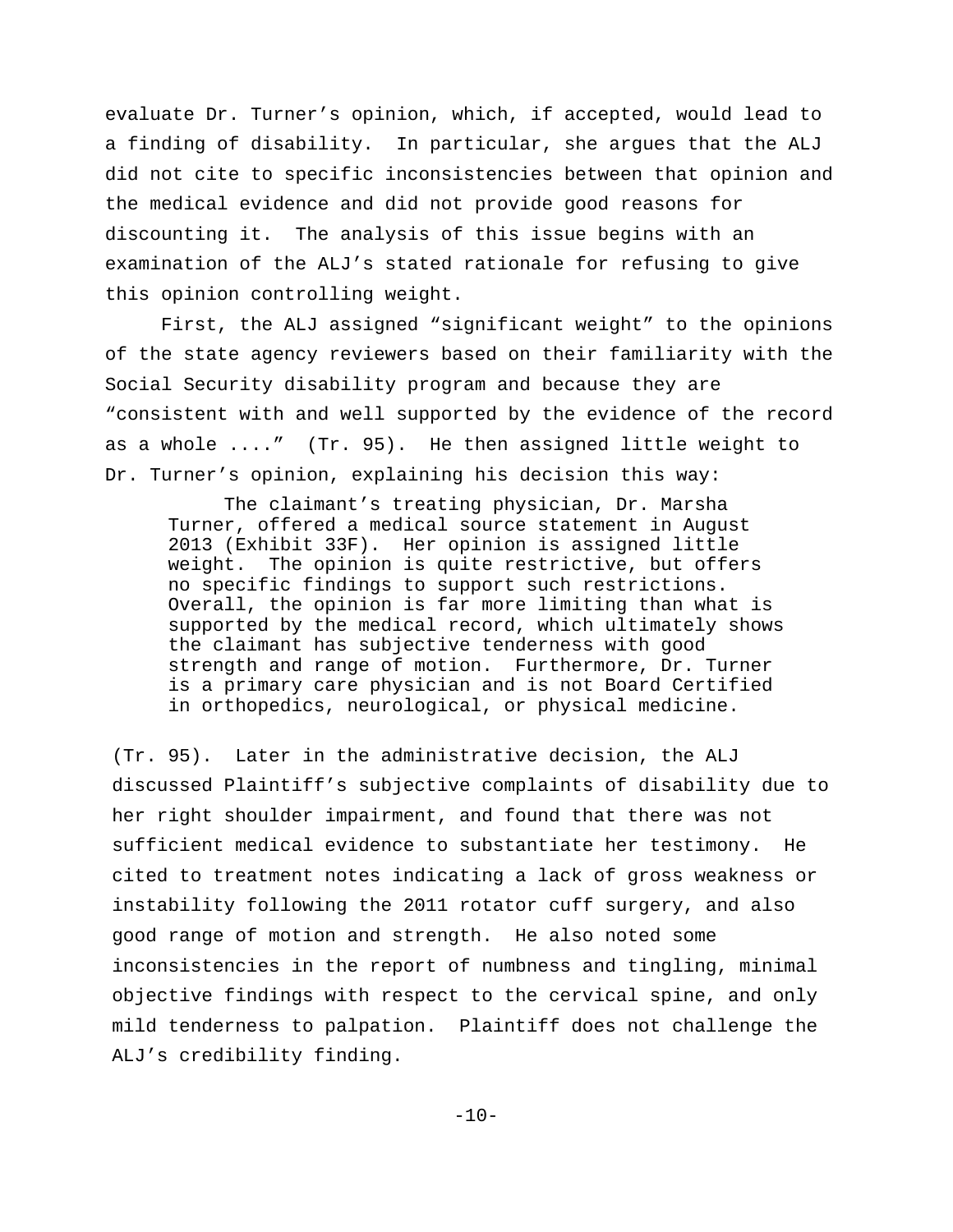evaluate Dr. Turner's opinion, which, if accepted, would lead to a finding of disability. In particular, she argues that the ALJ did not cite to specific inconsistencies between that opinion and the medical evidence and did not provide good reasons for discounting it. The analysis of this issue begins with an examination of the ALJ's stated rationale for refusing to give this opinion controlling weight.

First, the ALJ assigned "significant weight" to the opinions of the state agency reviewers based on their familiarity with the Social Security disability program and because they are "consistent with and well supported by the evidence of the record as a whole ...." (Tr. 95). He then assigned little weight to Dr. Turner's opinion, explaining his decision this way:

The claimant's treating physician, Dr. Marsha Turner, offered a medical source statement in August 2013 (Exhibit 33F). Her opinion is assigned little weight. The opinion is quite restrictive, but offers no specific findings to support such restrictions. Overall, the opinion is far more limiting than what is supported by the medical record, which ultimately shows the claimant has subjective tenderness with good strength and range of motion. Furthermore, Dr. Turner is a primary care physician and is not Board Certified in orthopedics, neurological, or physical medicine.

(Tr. 95). Later in the administrative decision, the ALJ discussed Plaintiff's subjective complaints of disability due to her right shoulder impairment, and found that there was not sufficient medical evidence to substantiate her testimony. He cited to treatment notes indicating a lack of gross weakness or instability following the 2011 rotator cuff surgery, and also good range of motion and strength. He also noted some inconsistencies in the report of numbness and tingling, minimal objective findings with respect to the cervical spine, and only mild tenderness to palpation. Plaintiff does not challenge the ALJ's credibility finding.

 $-10-$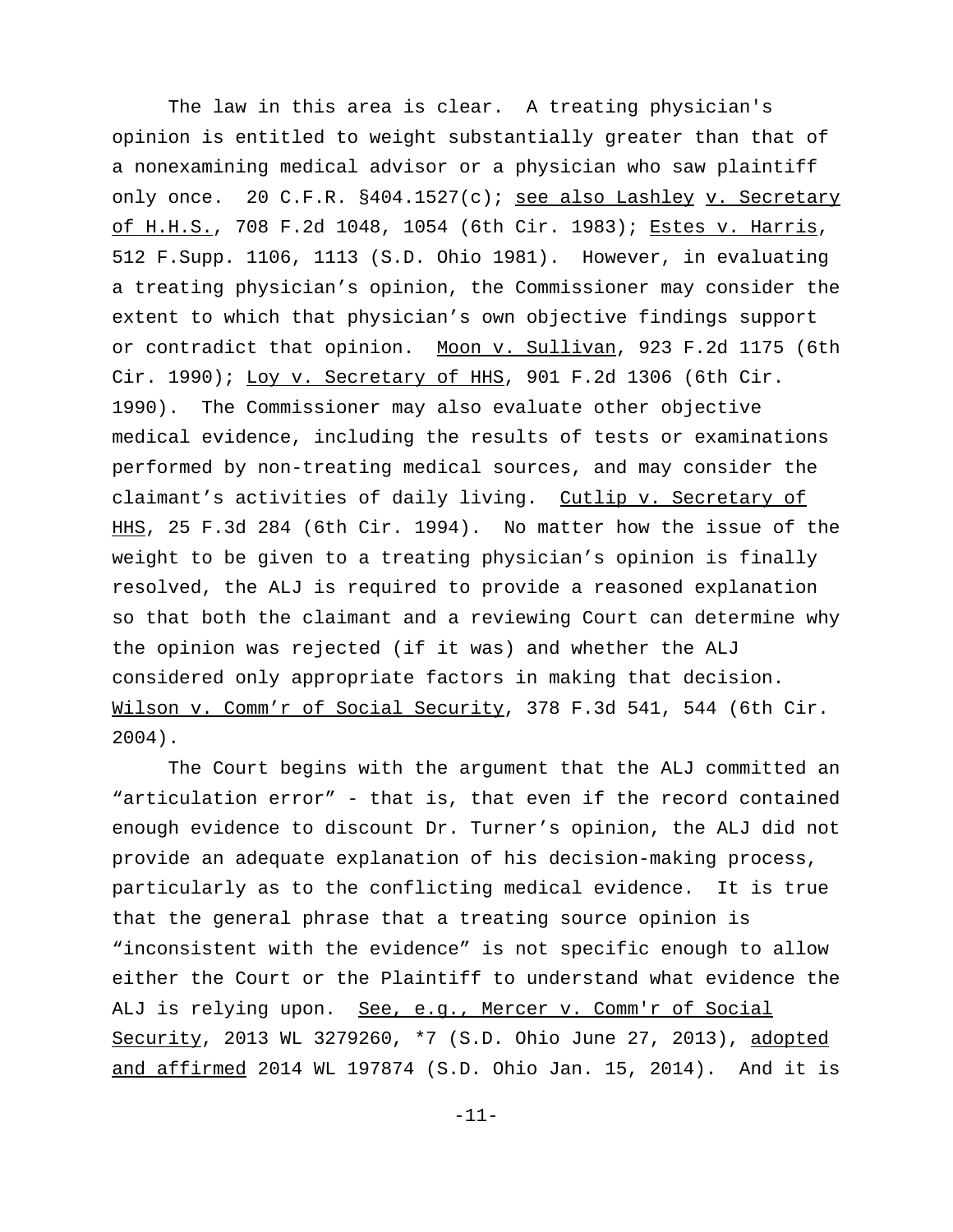The law in this area is clear. A treating physician's opinion is entitled to weight substantially greater than that of a nonexamining medical advisor or a physician who saw plaintiff only once. 20 C.F.R. §404.1527(c); see also Lashley v. Secretary of H.H.S., 708 F.2d 1048, 1054 (6th Cir. 1983); Estes v. Harris, 512 F.Supp. 1106, 1113 (S.D. Ohio 1981). However, in evaluating a treating physician's opinion, the Commissioner may consider the extent to which that physician's own objective findings support or contradict that opinion. Moon v. Sullivan, 923 F.2d 1175 (6th Cir. 1990); Loy v. Secretary of HHS, 901 F.2d 1306 (6th Cir. 1990). The Commissioner may also evaluate other objective medical evidence, including the results of tests or examinations performed by non-treating medical sources, and may consider the claimant's activities of daily living. Cutlip v. Secretary of HHS, 25 F.3d 284 (6th Cir. 1994). No matter how the issue of the weight to be given to a treating physician's opinion is finally resolved, the ALJ is required to provide a reasoned explanation so that both the claimant and a reviewing Court can determine why the opinion was rejected (if it was) and whether the ALJ considered only appropriate factors in making that decision. Wilson v. Comm'r of Social Security, 378 F.3d 541, 544 (6th Cir. 2004).

The Court begins with the argument that the ALJ committed an "articulation error" - that is, that even if the record contained enough evidence to discount Dr. Turner's opinion, the ALJ did not provide an adequate explanation of his decision-making process, particularly as to the conflicting medical evidence. It is true that the general phrase that a treating source opinion is "inconsistent with the evidence" is not specific enough to allow either the Court or the Plaintiff to understand what evidence the ALJ is relying upon. See, e.g., Mercer v. Comm'r of Social Security, 2013 WL 3279260, \*7 (S.D. Ohio June 27, 2013), adopted and affirmed 2014 WL 197874 (S.D. Ohio Jan. 15, 2014). And it is

-11-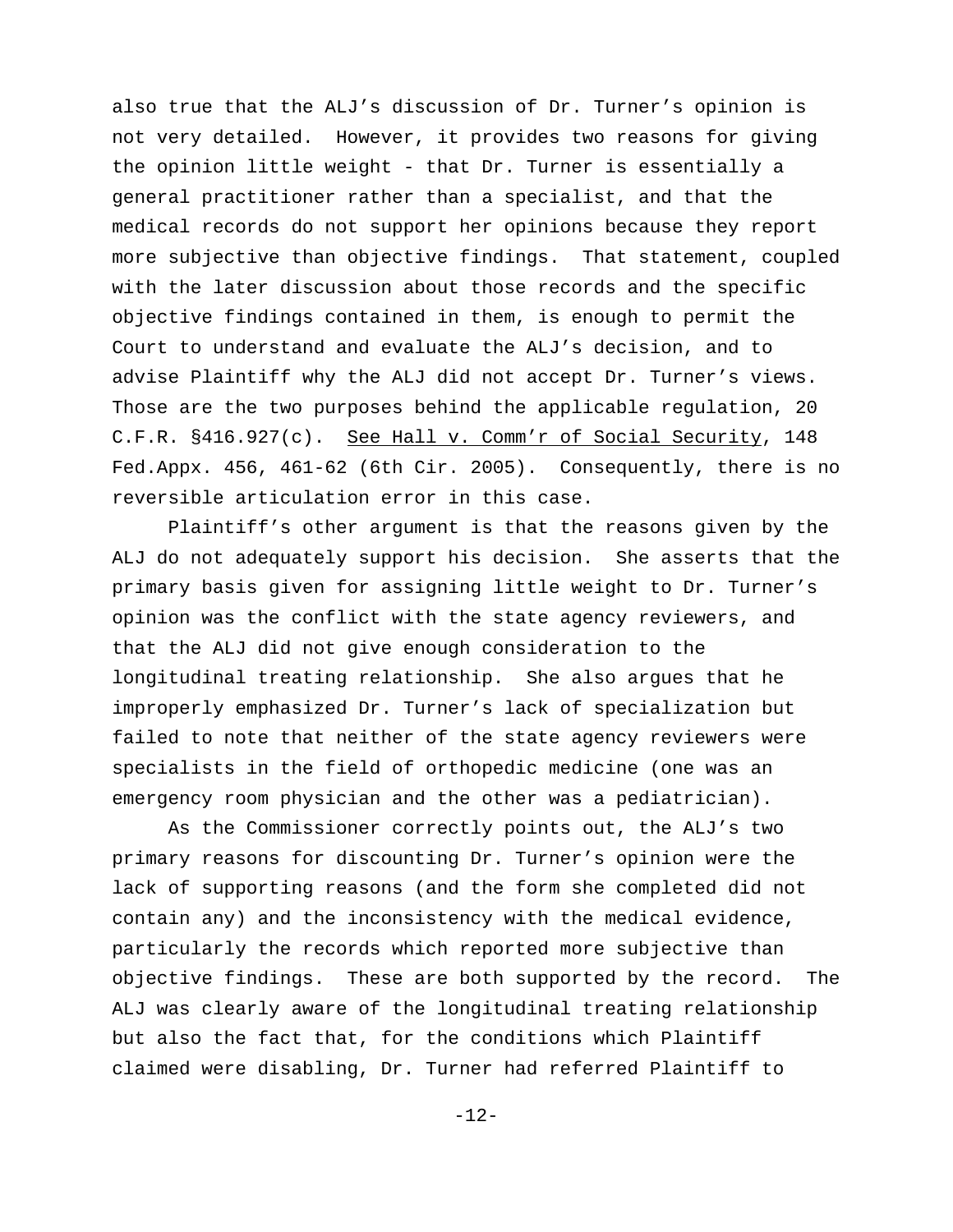also true that the ALJ's discussion of Dr. Turner's opinion is not very detailed. However, it provides two reasons for giving the opinion little weight - that Dr. Turner is essentially a general practitioner rather than a specialist, and that the medical records do not support her opinions because they report more subjective than objective findings. That statement, coupled with the later discussion about those records and the specific objective findings contained in them, is enough to permit the Court to understand and evaluate the ALJ's decision, and to advise Plaintiff why the ALJ did not accept Dr. Turner's views. Those are the two purposes behind the applicable regulation, 20 C.F.R. §416.927(c). See Hall v. Comm'r of Social Security, 148 Fed.Appx. 456, 461-62 (6th Cir. 2005). Consequently, there is no reversible articulation error in this case.

Plaintiff's other argument is that the reasons given by the ALJ do not adequately support his decision. She asserts that the primary basis given for assigning little weight to Dr. Turner's opinion was the conflict with the state agency reviewers, and that the ALJ did not give enough consideration to the longitudinal treating relationship. She also argues that he improperly emphasized Dr. Turner's lack of specialization but failed to note that neither of the state agency reviewers were specialists in the field of orthopedic medicine (one was an emergency room physician and the other was a pediatrician).

As the Commissioner correctly points out, the ALJ's two primary reasons for discounting Dr. Turner's opinion were the lack of supporting reasons (and the form she completed did not contain any) and the inconsistency with the medical evidence, particularly the records which reported more subjective than objective findings. These are both supported by the record. The ALJ was clearly aware of the longitudinal treating relationship but also the fact that, for the conditions which Plaintiff claimed were disabling, Dr. Turner had referred Plaintiff to

-12-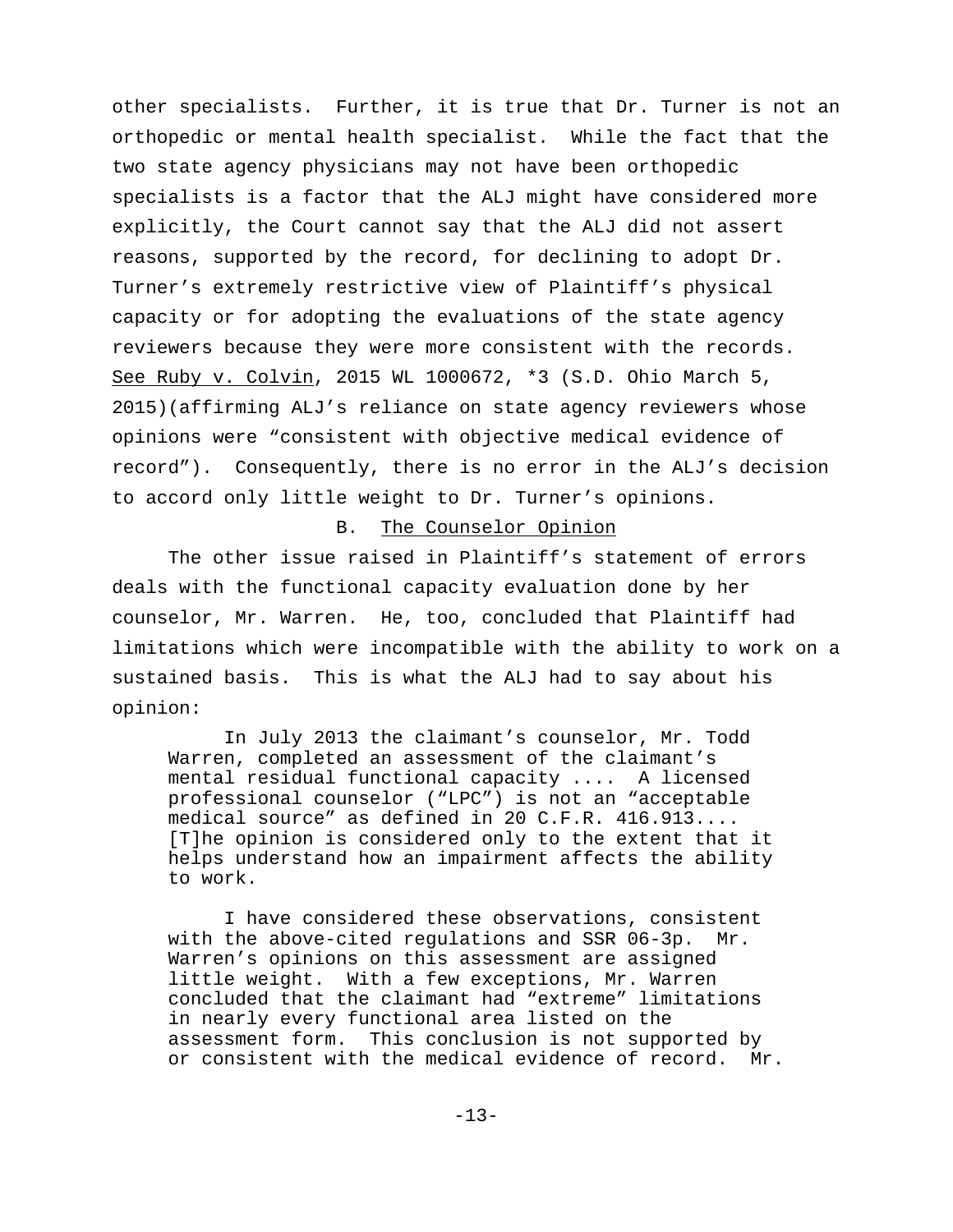other specialists. Further, it is true that Dr. Turner is not an orthopedic or mental health specialist. While the fact that the two state agency physicians may not have been orthopedic specialists is a factor that the ALJ might have considered more explicitly, the Court cannot say that the ALJ did not assert reasons, supported by the record, for declining to adopt Dr. Turner's extremely restrictive view of Plaintiff's physical capacity or for adopting the evaluations of the state agency reviewers because they were more consistent with the records. See Ruby v. Colvin, 2015 WL 1000672, \*3 (S.D. Ohio March 5, 2015)(affirming ALJ's reliance on state agency reviewers whose opinions were "consistent with objective medical evidence of record"). Consequently, there is no error in the ALJ's decision to accord only little weight to Dr. Turner's opinions.

#### B. The Counselor Opinion

The other issue raised in Plaintiff's statement of errors deals with the functional capacity evaluation done by her counselor, Mr. Warren. He, too, concluded that Plaintiff had limitations which were incompatible with the ability to work on a sustained basis. This is what the ALJ had to say about his opinion:

In July 2013 the claimant's counselor, Mr. Todd Warren, completed an assessment of the claimant's mental residual functional capacity .... A licensed professional counselor ("LPC") is not an "acceptable medical source" as defined in 20 C.F.R. 416.913.... [T]he opinion is considered only to the extent that it helps understand how an impairment affects the ability to work.

I have considered these observations, consistent with the above-cited regulations and SSR 06-3p. Mr. Warren's opinions on this assessment are assigned little weight. With a few exceptions, Mr. Warren concluded that the claimant had "extreme" limitations in nearly every functional area listed on the assessment form. This conclusion is not supported by or consistent with the medical evidence of record. Mr.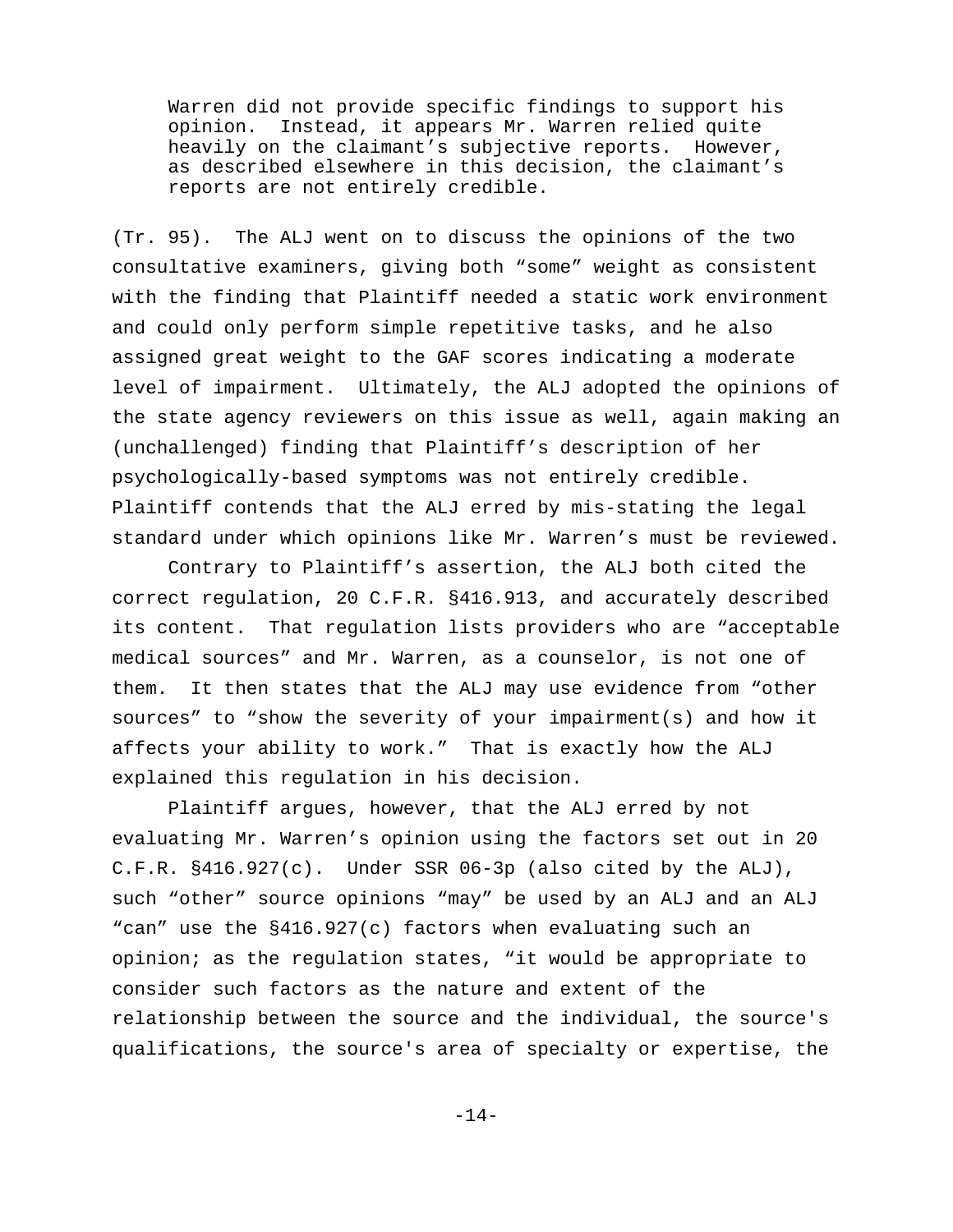Warren did not provide specific findings to support his opinion. Instead, it appears Mr. Warren relied quite heavily on the claimant's subjective reports. However, as described elsewhere in this decision, the claimant's reports are not entirely credible.

(Tr. 95). The ALJ went on to discuss the opinions of the two consultative examiners, giving both "some" weight as consistent with the finding that Plaintiff needed a static work environment and could only perform simple repetitive tasks, and he also assigned great weight to the GAF scores indicating a moderate level of impairment. Ultimately, the ALJ adopted the opinions of the state agency reviewers on this issue as well, again making an (unchallenged) finding that Plaintiff's description of her psychologically-based symptoms was not entirely credible. Plaintiff contends that the ALJ erred by mis-stating the legal standard under which opinions like Mr. Warren's must be reviewed.

Contrary to Plaintiff's assertion, the ALJ both cited the correct regulation, 20 C.F.R. §416.913, and accurately described its content. That regulation lists providers who are "acceptable medical sources" and Mr. Warren, as a counselor, is not one of them. It then states that the ALJ may use evidence from "other sources" to "show the severity of your impairment(s) and how it affects your ability to work." That is exactly how the ALJ explained this regulation in his decision.

Plaintiff argues, however, that the ALJ erred by not evaluating Mr. Warren's opinion using the factors set out in 20 C.F.R. §416.927(c). Under SSR 06-3p (also cited by the ALJ), such "other" source opinions "may" be used by an ALJ and an ALJ "can" use the §416.927(c) factors when evaluating such an opinion; as the regulation states, "it would be appropriate to consider such factors as the nature and extent of the relationship between the source and the individual, the source's qualifications, the source's area of specialty or expertise, the

-14-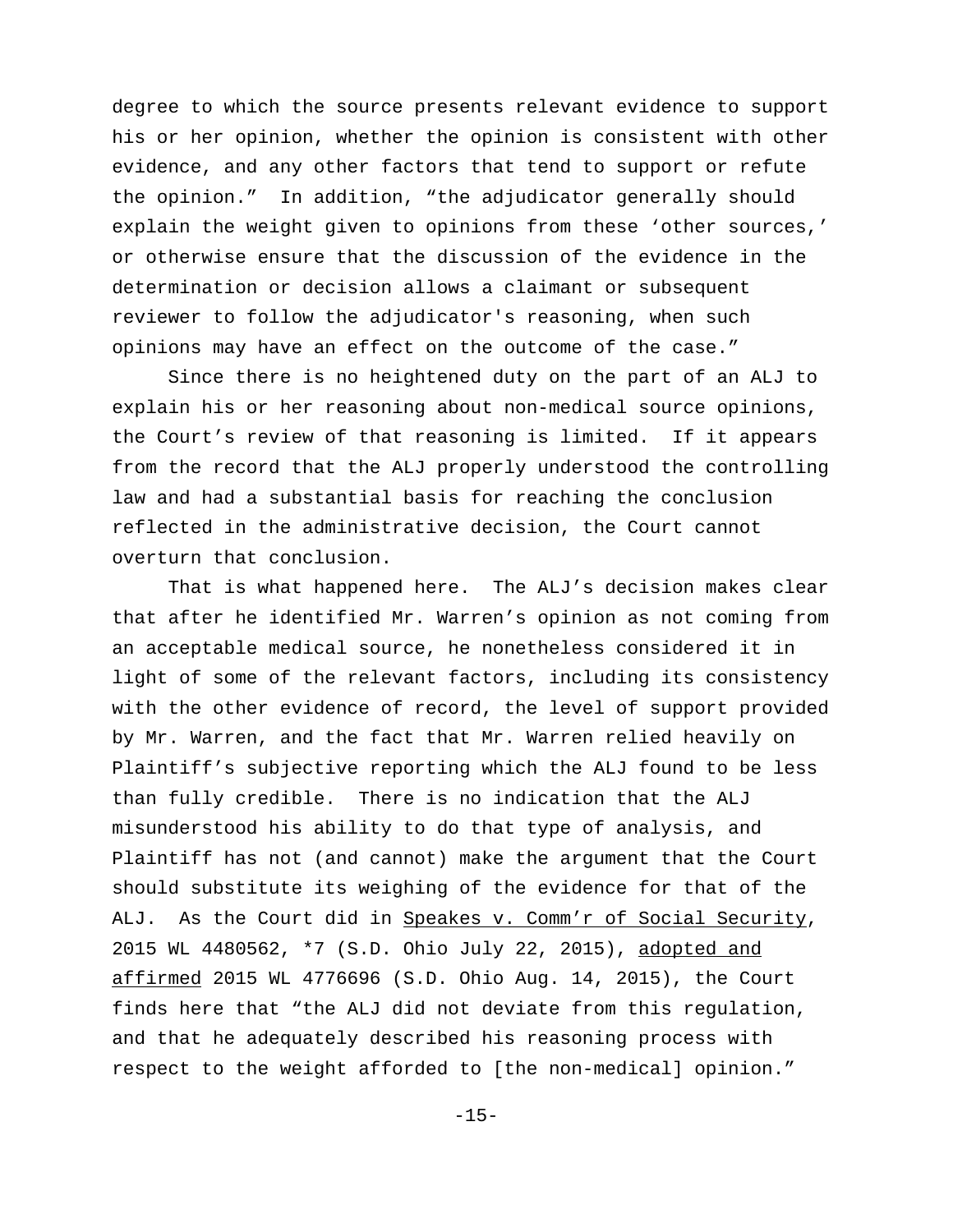degree to which the source presents relevant evidence to support his or her opinion, whether the opinion is consistent with other evidence, and any other factors that tend to support or refute the opinion." In addition, "the adjudicator generally should explain the weight given to opinions from these 'other sources,' or otherwise ensure that the discussion of the evidence in the determination or decision allows a claimant or subsequent reviewer to follow the adjudicator's reasoning, when such opinions may have an effect on the outcome of the case."

Since there is no heightened duty on the part of an ALJ to explain his or her reasoning about non-medical source opinions, the Court's review of that reasoning is limited. If it appears from the record that the ALJ properly understood the controlling law and had a substantial basis for reaching the conclusion reflected in the administrative decision, the Court cannot overturn that conclusion.

That is what happened here. The ALJ's decision makes clear that after he identified Mr. Warren's opinion as not coming from an acceptable medical source, he nonetheless considered it in light of some of the relevant factors, including its consistency with the other evidence of record, the level of support provided by Mr. Warren, and the fact that Mr. Warren relied heavily on Plaintiff's subjective reporting which the ALJ found to be less than fully credible. There is no indication that the ALJ misunderstood his ability to do that type of analysis, and Plaintiff has not (and cannot) make the argument that the Court should substitute its weighing of the evidence for that of the ALJ. As the Court did in Speakes v. Comm'r of Social Security, 2015 WL 4480562, \*7 (S.D. Ohio July 22, 2015), adopted and affirmed 2015 WL 4776696 (S.D. Ohio Aug. 14, 2015), the Court finds here that "the ALJ did not deviate from this regulation, and that he adequately described his reasoning process with respect to the weight afforded to [the non-medical] opinion."

-15-